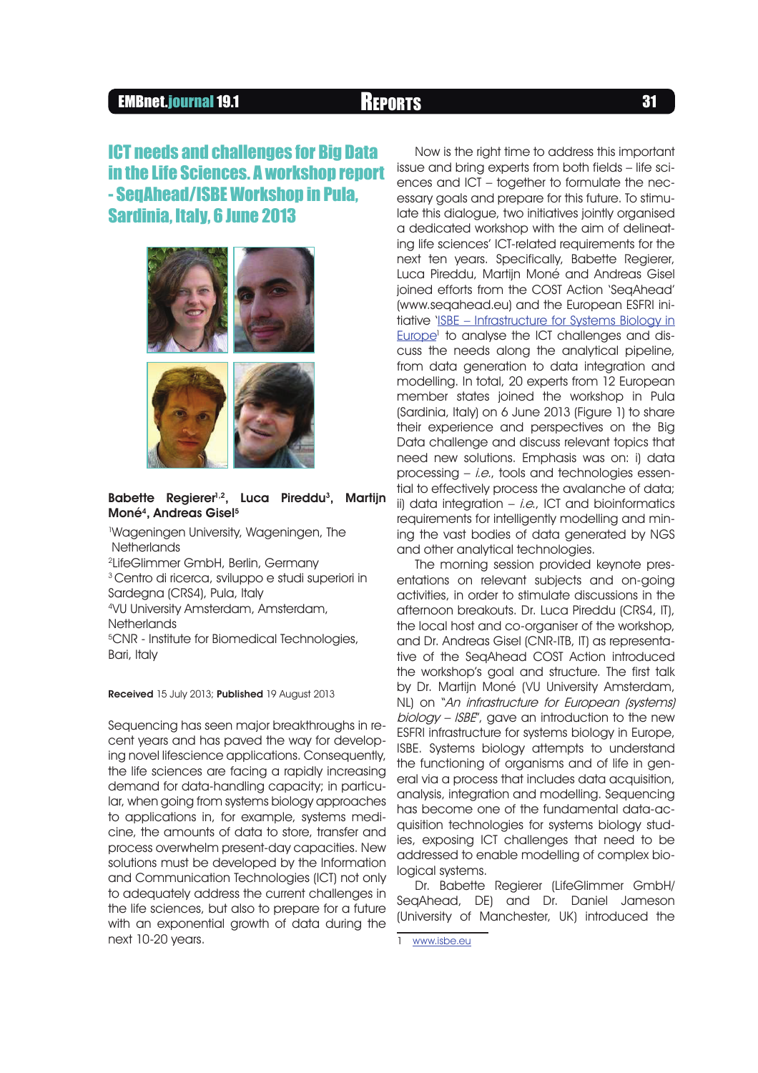## EMBnet.journal 19.1 **REPORTS BUDGERS 31**

# **ICT needs and challenges for Big Data** in the Life Sciences. A workshop report - SegAhead/ISBE Workshop in Pula. Sardinia, Italy, 6 June 2013



### Babette Regierer<sup>1,2</sup>, Luca Pireddu<sup>3</sup>, Martijn Moné<sup>4</sup>, Andreas Gisel<sup>5</sup>

<sup>1</sup>Wageningen University, Wageningen, The **Netherlands** 

2 LifeGlimmer GmbH, Berlin, Germany

<sup>3</sup> Centro di ricerca, sviluppo e studi superiori in Sardegna (CRS4), Pula, Italy

<sup>4</sup>VU University Amsterdam, Amsterdam, **Netherlands** 

<sup>5</sup>CNR - Institute for Biomedical Technologies, Bari, Italy

Received 15 July 2013; Published 19 August 2013

Sequencing has seen major breakthroughs in recent years and has paved the way for developing novel lifescience applications. Consequently, the life sciences are facing a rapidly increasing demand for data-handling capacity; in particular, when going from systems biology approaches to applications in, for example, systems medicine, the amounts of data to store, transfer and process overwhelm present-day capacities. New solutions must be developed by the Information and Communication Technologies (ICT) not only to adequately address the current challenges in the life sciences, but also to prepare for a future with an exponential growth of data during the next 10-20 years.

Now is the right time to address this important issue and bring experts from both fields – life sciences and ICT – together to formulate the necessary goals and prepare for this future. To stimulate this dialogue, two initiatives jointly organised a dedicated workshop with the aim of delineating life sciences' ICT-related requirements for the next ten years. Specifically, Babette Regierer, Luca Pireddu, Martijn Moné and Andreas Gisel joined efforts from the COST Action 'SeqAhead' (www.seqahead.eu) and the European ESFRI initiative 'ISBE – Infrastructure for Systems Biology in Europe<sup>1</sup> to analyse the ICT challenges and discuss the needs along the analytical pipeline, from data generation to data integration and modelling. In total, 20 experts from 12 European member states joined the workshop in Pula (Sardinia, Italy) on 6 June 2013 (Figure 1) to share their experience and perspectives on the Big Data challenge and discuss relevant topics that need new solutions. Emphasis was on: i) data processing – i.e., tools and technologies essential to effectively process the avalanche of data; ii) data integration  $-$  *i.e.*, ICT and bioinformatics requirements for intelligently modelling and mining the vast bodies of data generated by NGS and other analytical technologies.

The morning session provided keynote presentations on relevant subjects and on-going activities, in order to stimulate discussions in the afternoon breakouts. Dr. Luca Pireddu (CRS4, IT), the local host and co-organiser of the workshop, and Dr. Andreas Gisel (CNR-ITB, IT) as representative of the SeqAhead COST Action introduced the workshop's goal and structure. The first talk by Dr. Martijn Moné (VU University Amsterdam, NL) on "An infrastructure for European (systems) biology – ISBE", gave an introduction to the new ESFRI infrastructure for systems biology in Europe, ISBE. Systems biology attempts to understand the functioning of organisms and of life in general via a process that includes data acquisition, analysis, integration and modelling. Sequencing has become one of the fundamental data-acquisition technologies for systems biology studies, exposing ICT challenges that need to be addressed to enable modelling of complex biological systems.

Dr. Babette Regierer (LifeGlimmer GmbH/ SeqAhead, DE) and Dr. Daniel Jameson (University of Manchester, UK) introduced the

www.isbe.eu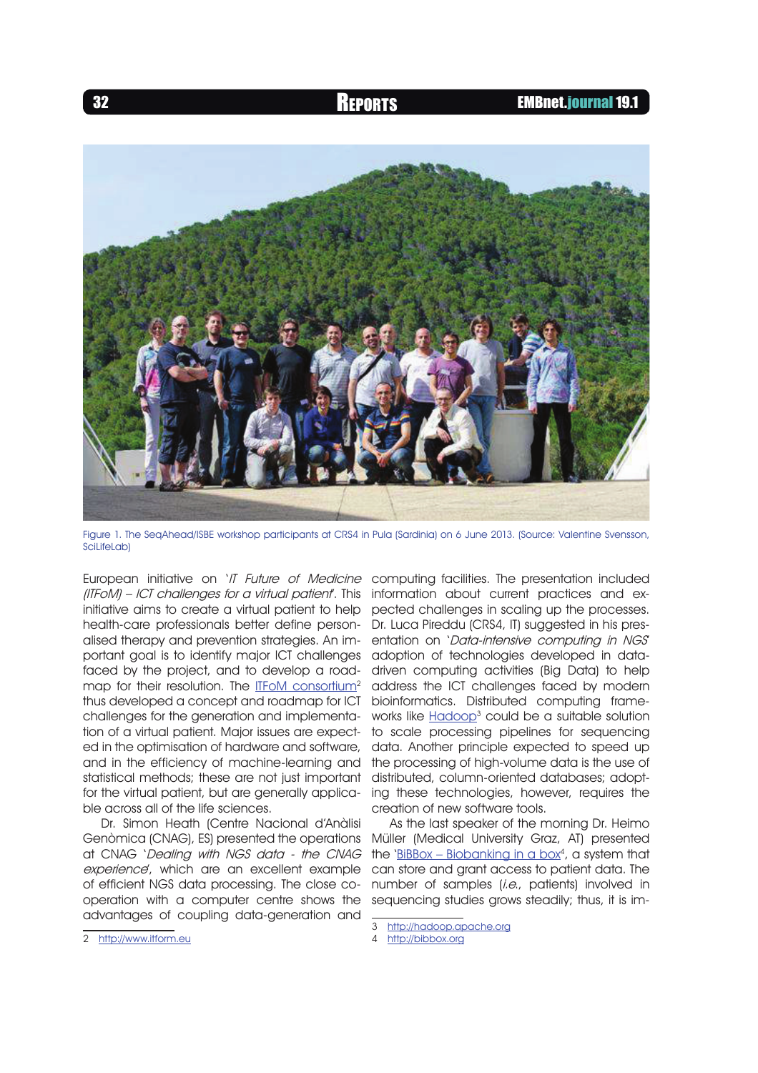

Figure 1. The SeqAhead/ISBE workshop participants at CRS4 in Pula (Sardinia) on 6 June 2013. (Source: Valentine Svensson, SciLifeLab)

European initiative on 'IT Future of Medicine (ITFoM) – ICT challenges for a virtual patient<sup>'</sup>. This information about current practices and exinitiative aims to create a virtual patient to help health-care professionals better define personalised therapy and prevention strategies. An important goal is to identify major ICT challenges faced by the project, and to develop a roadmap for their resolution. The ITFoM consortium<sup>2</sup> thus developed a concept and roadmap for ICT challenges for the generation and implementation of a virtual patient. Major issues are expected in the optimisation of hardware and software, and in the efficiency of machine-learning and statistical methods; these are not just important for the virtual patient, but are generally applicable across all of the life sciences.

Dr. Simon Heath (Centre Nacional d'Anàlisi Genòmica (CNAG), ES) presented the operations at CNAG 'Dealing with NGS data - the CNAG experience', which are an excellent example of efficient NGS data processing. The close cooperation with a computer centre shows the advantages of coupling data-generation and

computing facilities. The presentation included pected challenges in scaling up the processes. Dr. Luca Pireddu (CRS4, IT) suggested in his presentation on 'Data-intensive computing in NGS' adoption of technologies developed in datadriven computing activities (Big Data) to help address the ICT challenges faced by modern bioinformatics. Distributed computing frameworks like <u>Hadoop</u>3 could be a suitable solution to scale processing pipelines for sequencing data. Another principle expected to speed up the processing of high-volume data is the use of distributed, column-oriented databases; adopting these technologies, however, requires the creation of new software tools.

As the last speaker of the morning Dr. Heimo Müller (Medical University Graz, AT) presented the '<u>BiBBox – Biobanking in a box</u>4, a system that can store and grant access to patient data. The number of samples (i.e., patients) involved in sequencing studies grows steadily; thus, it is im-

2 http://www.itform.eu

<sup>3</sup> http://hadoop.apache.org

<sup>4</sup> http://bibbox.org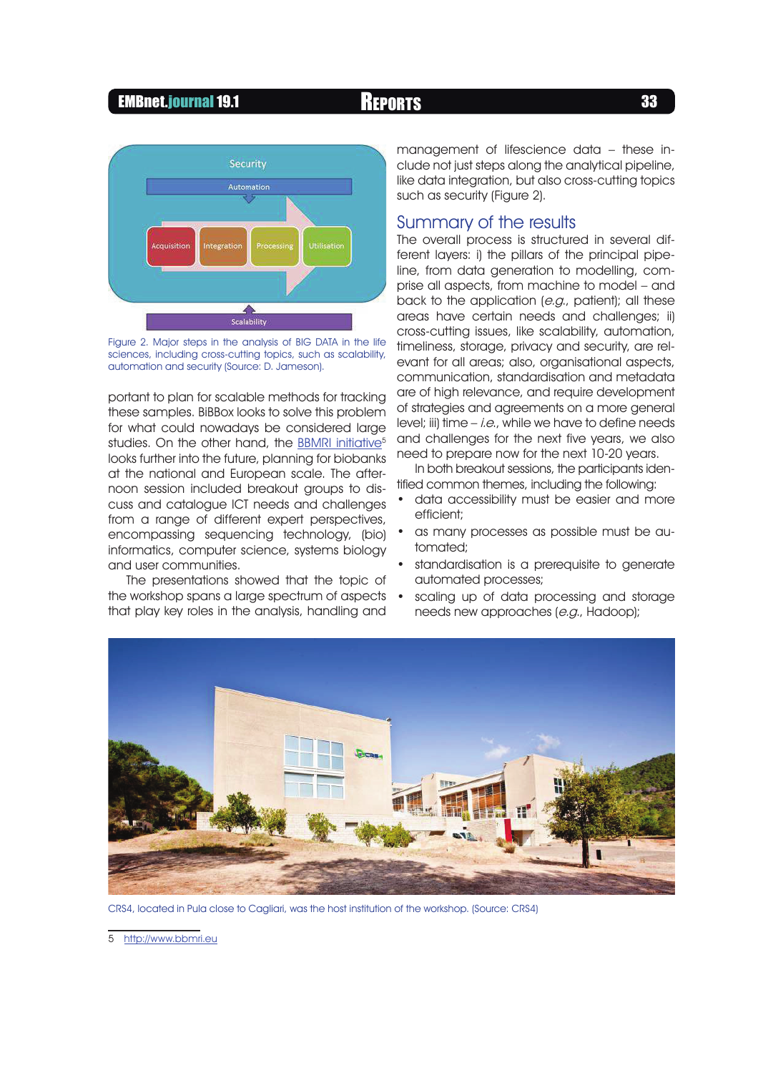### EMBnet.journal 19.1 **REPORTS** 33



Figure 2. Major steps in the analysis of BIG DATA in the life sciences, including cross-cutting topics, such as scalability, automation and security (Source: D. Jameson).

portant to plan for scalable methods for tracking these samples. BiBBox looks to solve this problem for what could nowadays be considered large studies. On the other hand, the BBMRI initiative<sup>5</sup> looks further into the future, planning for biobanks at the national and European scale. The afternoon session included breakout groups to discuss and catalogue ICT needs and challenges from a range of different expert perspectives, encompassing sequencing technology, (bio) informatics, computer science, systems biology and user communities.

The presentations showed that the topic of the workshop spans a large spectrum of aspects that play key roles in the analysis, handling and

management of lifescience data – these include not just steps along the analytical pipeline, like data integration, but also cross-cutting topics such as security (Figure 2).

### Summary of the results

The overall process is structured in several different layers: i) the pillars of the principal pipeline, from data generation to modelling, comprise all aspects, from machine to model – and back to the application (e.g., patient); all these areas have certain needs and challenges; ii) cross-cutting issues, like scalability, automation, timeliness, storage, privacy and security, are relevant for all areas; also, organisational aspects, communication, standardisation and metadata are of high relevance, and require development of strategies and agreements on a more general level; iii) time  $-$  *i.e.*, while we have to define needs and challenges for the next five years, we also need to prepare now for the next 10-20 years.

In both breakout sessions, the participants identified common themes, including the following:

- data accessibility must be easier and more efficient;
- as many processes as possible must be automated;
- standardisation is a prerequisite to generate automated processes;
- scaling up of data processing and storage needs new approaches (e.g., Hadoop);



CRS4, located in Pula close to Cagliari, was the host institution of the workshop. (Source: CRS4)

5 http://www.bbmri.eu